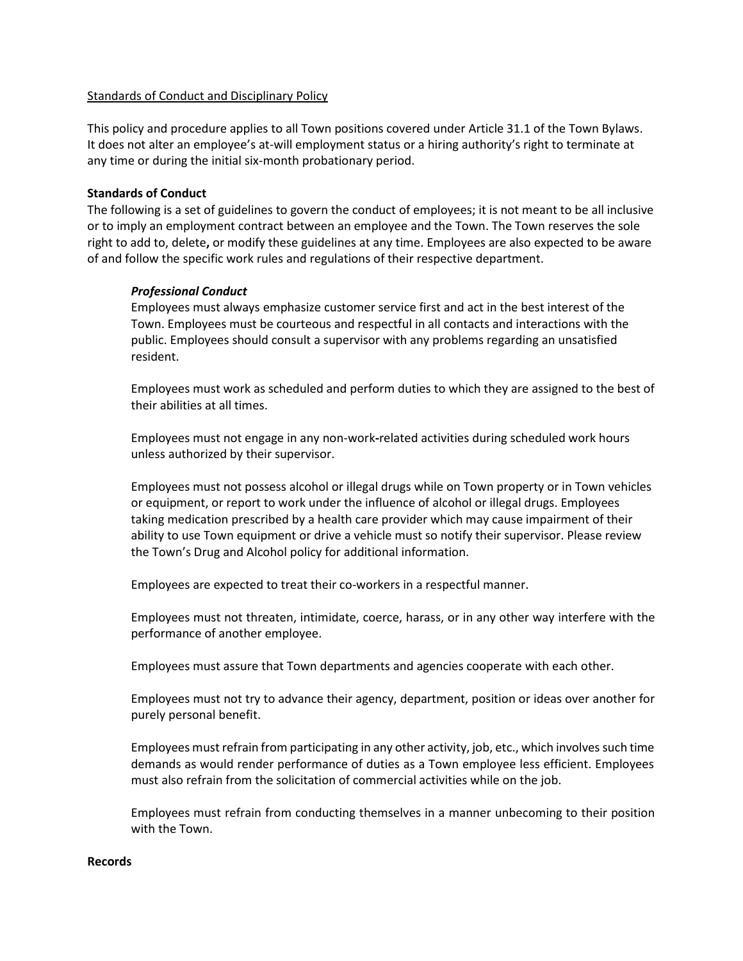## Standards of Conduct and Disciplinary Policy

This policy and procedure applies to all Town positions covered under Article 31.1 of the Town Bylaws. It does not alter an employee's at-will employment status or a hiring authority's right to terminate at any time or during the initial six-month probationary period.

# **Standards of Conduct**

The following is a set of guidelines to govern the conduct of employees; it is not meant to be all inclusive or to imply an employment contract between an employee and the Town. The Town reserves the sole right to add to, delete**,** or modify these guidelines at any time. Employees are also expected to be aware of and follow the specific work rules and regulations of their respective department.

## *Professional Conduct*

Employees must always emphasize customer service first and act in the best interest of the Town. Employees must be courteous and respectful in all contacts and interactions with the public. Employees should consult a supervisor with any problems regarding an unsatisfied resident.

Employees must work as scheduled and perform duties to which they are assigned to the best of their abilities at all times.

Employees must not engage in any non-work**-**related activities during scheduled work hours unless authorized by their supervisor.

Employees must not possess alcohol or illegal drugs while on Town property or in Town vehicles or equipment, or report to work under the influence of alcohol or illegal drugs. Employees taking medication prescribed by a health care provider which may cause impairment of their ability to use Town equipment or drive a vehicle must so notify their supervisor. Please review the Town's Drug and Alcohol policy for additional information.

Employees are expected to treat their co-workers in a respectful manner.

Employees must not threaten, intimidate, coerce, harass, or in any other way interfere with the performance of another employee.

Employees must assure that Town departments and agencies cooperate with each other.

Employees must not try to advance their agency, department, position or ideas over another for purely personal benefit.

Employees must refrain from participating in any other activity, job, etc., which involves such time demands as would render performance of duties as a Town employee less efficient. Employees must also refrain from the solicitation of commercial activities while on the job.

Employees must refrain from conducting themselves in a manner unbecoming to their position with the Town.

### **Records**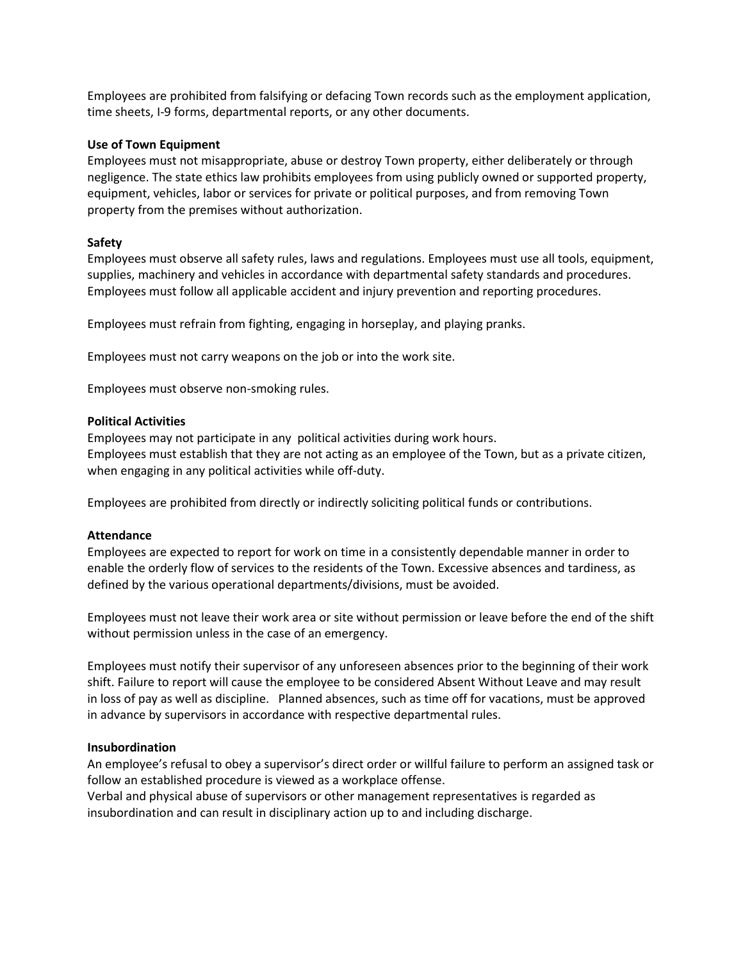Employees are prohibited from falsifying or defacing Town records such as the employment application, time sheets, I-9 forms, departmental reports, or any other documents.

## **Use of Town Equipment**

Employees must not misappropriate, abuse or destroy Town property, either deliberately or through negligence. The state ethics law prohibits employees from using publicly owned or supported property, equipment, vehicles, labor or services for private or political purposes, and from removing Town property from the premises without authorization.

## **Safety**

Employees must observe all safety rules, laws and regulations. Employees must use all tools, equipment, supplies, machinery and vehicles in accordance with departmental safety standards and procedures. Employees must follow all applicable accident and injury prevention and reporting procedures.

Employees must refrain from fighting, engaging in horseplay, and playing pranks.

Employees must not carry weapons on the job or into the work site.

Employees must observe non-smoking rules.

## **Political Activities**

Employees may not participate in any political activities during work hours. Employees must establish that they are not acting as an employee of the Town, but as a private citizen, when engaging in any political activities while off-duty.

Employees are prohibited from directly or indirectly soliciting political funds or contributions.

### **Attendance**

Employees are expected to report for work on time in a consistently dependable manner in order to enable the orderly flow of services to the residents of the Town. Excessive absences and tardiness, as defined by the various operational departments/divisions, must be avoided.

Employees must not leave their work area or site without permission or leave before the end of the shift without permission unless in the case of an emergency.

Employees must notify their supervisor of any unforeseen absences prior to the beginning of their work shift. Failure to report will cause the employee to be considered Absent Without Leave and may result in loss of pay as well as discipline. Planned absences, such as time off for vacations, must be approved in advance by supervisors in accordance with respective departmental rules.

### **Insubordination**

An employee's refusal to obey a supervisor's direct order or willful failure to perform an assigned task or follow an established procedure is viewed as a workplace offense.

Verbal and physical abuse of supervisors or other management representatives is regarded as insubordination and can result in disciplinary action up to and including discharge.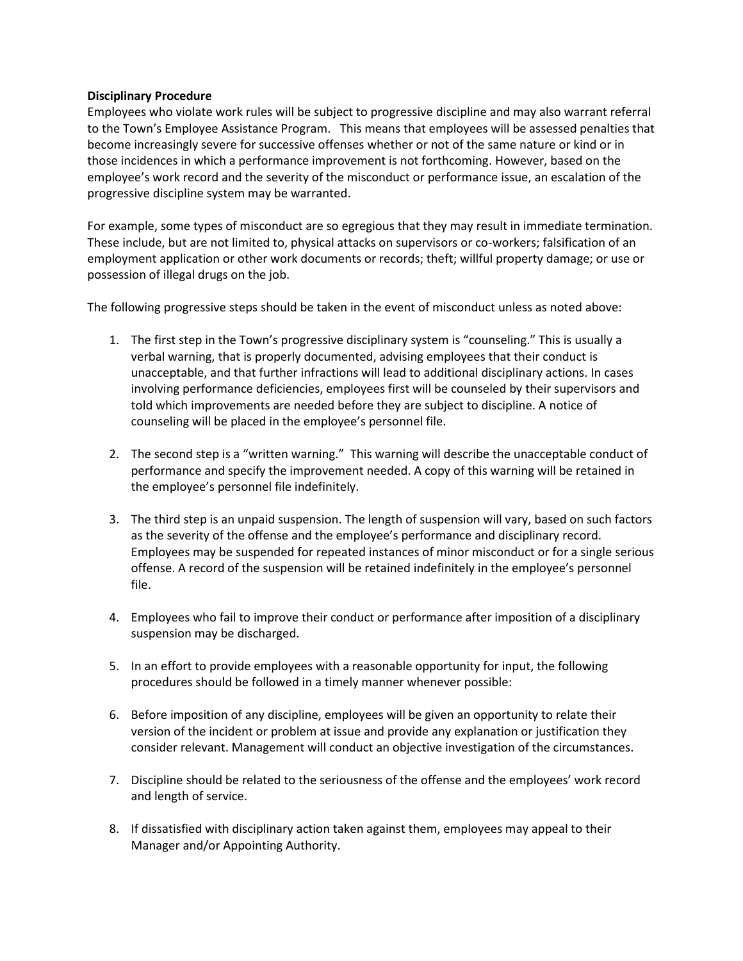## **Disciplinary Procedure**

Employees who violate work rules will be subject to progressive discipline and may also warrant referral to the Town's Employee Assistance Program. This means that employees will be assessed penalties that become increasingly severe for successive offenses whether or not of the same nature or kind or in those incidences in which a performance improvement is not forthcoming. However, based on the employee's work record and the severity of the misconduct or performance issue, an escalation of the progressive discipline system may be warranted.

For example, some types of misconduct are so egregious that they may result in immediate termination. These include, but are not limited to, physical attacks on supervisors or co-workers; falsification of an employment application or other work documents or records; theft; willful property damage; or use or possession of illegal drugs on the job.

The following progressive steps should be taken in the event of misconduct unless as noted above:

- 1. The first step in the Town's progressive disciplinary system is "counseling." This is usually a verbal warning, that is properly documented, advising employees that their conduct is unacceptable, and that further infractions will lead to additional disciplinary actions. In cases involving performance deficiencies, employees first will be counseled by their supervisors and told which improvements are needed before they are subject to discipline. A notice of counseling will be placed in the employee's personnel file.
- 2. The second step is a "written warning." This warning will describe the unacceptable conduct of performance and specify the improvement needed. A copy of this warning will be retained in the employee's personnel file indefinitely.
- 3. The third step is an unpaid suspension. The length of suspension will vary, based on such factors as the severity of the offense and the employee's performance and disciplinary record. Employees may be suspended for repeated instances of minor misconduct or for a single serious offense. A record of the suspension will be retained indefinitely in the employee's personnel file.
- 4. Employees who fail to improve their conduct or performance after imposition of a disciplinary suspension may be discharged.
- 5. In an effort to provide employees with a reasonable opportunity for input, the following procedures should be followed in a timely manner whenever possible:
- 6. Before imposition of any discipline, employees will be given an opportunity to relate their version of the incident or problem at issue and provide any explanation or justification they consider relevant. Management will conduct an objective investigation of the circumstances.
- 7. Discipline should be related to the seriousness of the offense and the employees' work record and length of service.
- 8. If dissatisfied with disciplinary action taken against them, employees may appeal to their Manager and/or Appointing Authority.